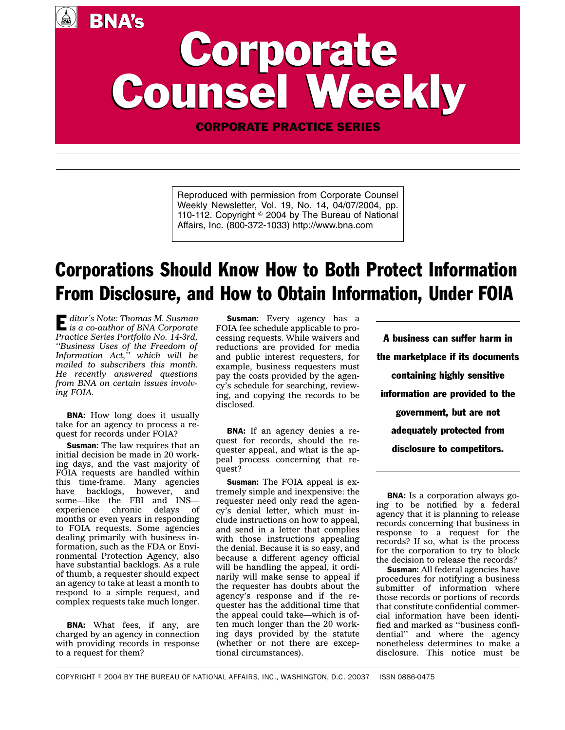# Corporate Corporate Counsel Weekly Counsel Weekly BNA's

CORPORATE PRACTICE SERIES

Reproduced with permission from Corporate Counsel Weekly Newsletter, Vol. 19, No. 14, 04/07/2004, pp. 110-112. Copyright <sup>©</sup> 2004 by The Bureau of National Affairs, Inc. (800-372-1033) http://www.bna.com

## Corporations Should Know How to Both Protect Information From Disclosure, and How to Obtain Information, Under FOIA

E *ditor's Note: Thomas M. Susman is a co-author of BNA Corporate Practice Series Portfolio No. 14-3rd, ''Business Uses of the Freedom of Information Act,'' which will be mailed to subscribers this month. He recently answered questions from BNA on certain issues involving FOIA.*

 $\left(\begin{matrix} \frac{1}{2} \\ \frac{1}{2} \end{matrix}\right)$ 

**BNA:** How long does it usually take for an agency to process a request for records under FOIA?

Susman: The law requires that an initial decision be made in 20 working days, and the vast majority of FOIA requests are handled within this time-frame. Many agencies have backlogs, however, and some—like the FBI and INS experience chronic delays of months or even years in responding to FOIA requests. Some agencies dealing primarily with business information, such as the FDA or Environmental Protection Agency, also have substantial backlogs. As a rule of thumb, a requester should expect an agency to take at least a month to respond to a simple request, and complex requests take much longer.

BNA: What fees, if any, are charged by an agency in connection with providing records in response to a request for them?

Susman: Every agency has a FOIA fee schedule applicable to processing requests. While waivers and reductions are provided for media and public interest requesters, for example, business requesters must pay the costs provided by the agency's schedule for searching, reviewing, and copying the records to be disclosed.

BNA: If an agency denies a request for records, should the requester appeal, and what is the appeal process concerning that request?

Susman: The FOIA appeal is extremely simple and inexpensive: the requester need only read the agency's denial letter, which must include instructions on how to appeal, and send in a letter that complies with those instructions appealing the denial. Because it is so easy, and because a different agency official will be handling the appeal, it ordinarily will make sense to appeal if the requester has doubts about the agency's response and if the requester has the additional time that the appeal could take—which is often much longer than the 20 working days provided by the statute (whether or not there are exceptional circumstances).

A business can suffer harm in the marketplace if its documents containing highly sensitive information are provided to the government, but are not adequately protected from disclosure to competitors.

BNA: Is a corporation always going to be notified by a federal agency that it is planning to release records concerning that business in response to a request for the records? If so, what is the process for the corporation to try to block the decision to release the records?

Susman: All federal agencies have procedures for notifying a business submitter of information where those records or portions of records that constitute confidential commercial information have been identified and marked as ''business confidential'' and where the agency nonetheless determines to make a disclosure. This notice must be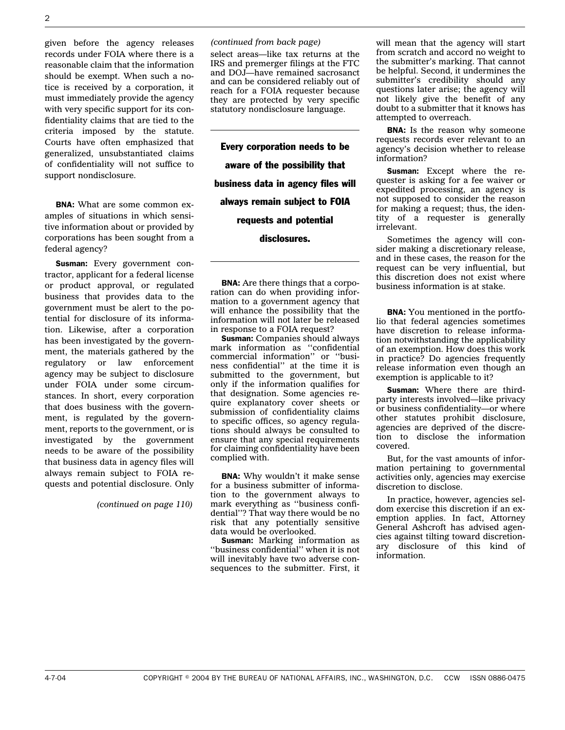given before the agency releases records under FOIA where there is a reasonable claim that the information should be exempt. When such a notice is received by a corporation, it must immediately provide the agency with very specific support for its confidentiality claims that are tied to the criteria imposed by the statute. Courts have often emphasized that generalized, unsubstantiated claims of confidentiality will not suffice to support nondisclosure.

BNA: What are some common examples of situations in which sensitive information about or provided by corporations has been sought from a federal agency?

Susman: Every government contractor, applicant for a federal license or product approval, or regulated business that provides data to the government must be alert to the potential for disclosure of its information. Likewise, after a corporation has been investigated by the government, the materials gathered by the regulatory or law enforcement agency may be subject to disclosure under FOIA under some circumstances. In short, every corporation that does business with the government, is regulated by the government, reports to the government, or is investigated by the government needs to be aware of the possibility that business data in agency files will always remain subject to FOIA requests and potential disclosure. Only

*(continued on page 110)*

#### *(continued from back page)*

select areas—like tax returns at the IRS and premerger filings at the FTC and DOJ—have remained sacrosanct and can be considered reliably out of reach for a FOIA requester because they are protected by very specific statutory nondisclosure language.

Every corporation needs to be aware of the possibility that business data in agency files will always remain subject to FOIA requests and potential disclosures.

BNA: Are there things that a corporation can do when providing information to a government agency that will enhance the possibility that the information will not later be released in response to a FOIA request?

Susman: Companies should always mark information as ''confidential commercial information'' or ''business confidential'' at the time it is submitted to the government, but only if the information qualifies for that designation. Some agencies require explanatory cover sheets or submission of confidentiality claims to specific offices, so agency regulations should always be consulted to ensure that any special requirements for claiming confidentiality have been complied with.

BNA: Why wouldn't it make sense for a business submitter of information to the government always to mark everything as ''business confidential''? That way there would be no risk that any potentially sensitive data would be overlooked.

Susman: Marking information as ''business confidential'' when it is not will inevitably have two adverse consequences to the submitter. First, it

will mean that the agency will start from scratch and accord no weight to the submitter's marking. That cannot be helpful. Second, it undermines the submitter's credibility should any questions later arise; the agency will not likely give the benefit of any doubt to a submitter that it knows has attempted to overreach.

**BNA:** Is the reason why someone requests records ever relevant to an agency's decision whether to release information?

Susman: Except where the requester is asking for a fee waiver or expedited processing, an agency is not supposed to consider the reason for making a request; thus, the identity of a requester is generally irrelevant.

Sometimes the agency will consider making a discretionary release, and in these cases, the reason for the request can be very influential, but this discretion does not exist where business information is at stake.

BNA: You mentioned in the portfolio that federal agencies sometimes have discretion to release information notwithstanding the applicability of an exemption. How does this work in practice? Do agencies frequently release information even though an exemption is applicable to it?

Susman: Where there are thirdparty interests involved—like privacy or business confidentiality—or where other statutes prohibit disclosure, agencies are deprived of the discretion to disclose the information covered.

But, for the vast amounts of information pertaining to governmental activities only, agencies may exercise discretion to disclose.

In practice, however, agencies seldom exercise this discretion if an exemption applies. In fact, Attorney General Ashcroft has advised agencies against tilting toward discretionary disclosure of this kind of information.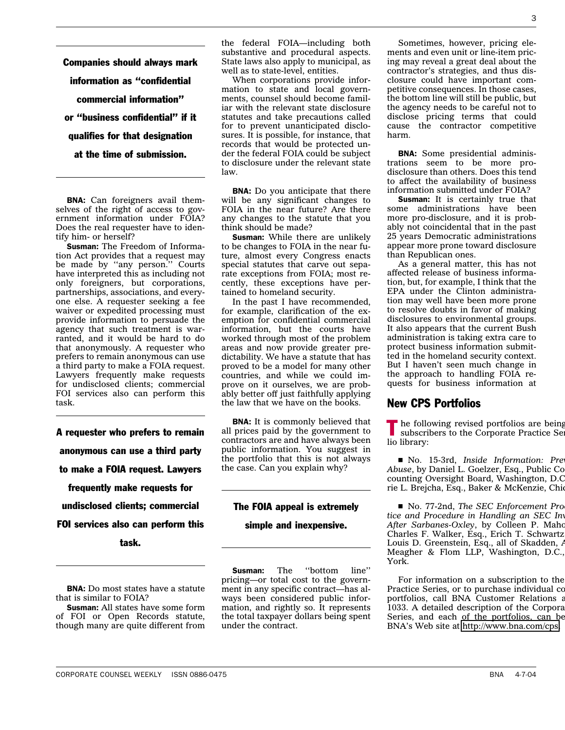Companies should always mark information as ''confidential commercial information'' or ''business confidential'' if it qualifies for that designation at the time of submission.

BNA: Can foreigners avail themselves of the right of access to government information under FOIA? Does the real requester have to identify him- or herself?

Susman: The Freedom of Information Act provides that a request may be made by ''any person.'' Courts have interpreted this as including not only foreigners, but corporations, partnerships, associations, and everyone else. A requester seeking a fee waiver or expedited processing must provide information to persuade the agency that such treatment is warranted, and it would be hard to do that anonymously. A requester who prefers to remain anonymous can use a third party to make a FOIA request. Lawyers frequently make requests for undisclosed clients; commercial FOI services also can perform this task.

A requester who prefers to remain anonymous can use a third party to make a FOIA request. Lawyers frequently make requests for undisclosed clients; commercial FOI services also can perform this task.

BNA: Do most states have a statute that is similar to FOIA?

Susman: All states have some form of FOI or Open Records statute, though many are quite different from the federal FOIA—including both substantive and procedural aspects. State laws also apply to municipal, as well as to state-level, entities.

When corporations provide information to state and local governments, counsel should become familiar with the relevant state disclosure statutes and take precautions called for to prevent unanticipated disclosures. It is possible, for instance, that records that would be protected under the federal FOIA could be subject to disclosure under the relevant state law.

**BNA:** Do you anticipate that there will be any significant changes to FOIA in the near future? Are there any changes to the statute that you think should be made?

**Susman:** While there are unlikely to be changes to FOIA in the near future, almost every Congress enacts special statutes that carve out separate exceptions from FOIA; most recently, these exceptions have pertained to homeland security.

In the past I have recommended, for example, clarification of the exemption for confidential commercial information, but the courts have worked through most of the problem areas and now provide greater predictability. We have a statute that has proved to be a model for many other countries, and while we could improve on it ourselves, we are probably better off just faithfully applying the law that we have on the books.

**BNA:** It is commonly believed that all prices paid by the government to contractors are and have always been public information. You suggest in the portfolio that this is not always the case. Can you explain why?

#### The FOIA appeal is extremely

#### simple and inexpensive.

**Susman:** The "bottom line" pricing—or total cost to the government in any specific contract—has always been considered public information, and rightly so. It represents the total taxpayer dollars being spent under the contract.

Sometimes, however, pricing elements and even unit or line-item pricing may reveal a great deal about the contractor's strategies, and thus disclosure could have important competitive consequences. In those cases, the bottom line will still be public, but the agency needs to be careful not to disclose pricing terms that could cause the contractor competitive harm.

BNA: Some presidential administrations seem to be more prodisclosure than others. Does this tend to affect the availability of business information submitted under FOIA?

**Susman:** It is certainly true that some administrations have been more pro-disclosure, and it is probably not coincidental that in the past 25 years Democratic administrations appear more prone toward disclosure than Republican ones.

As a general matter, this has not affected release of business information, but, for example, I think that the EPA under the Clinton administration may well have been more prone to resolve doubts in favor of making disclosures to environmental groups. It also appears that the current Bush administration is taking extra care to protect business information submitted in the homeland security context. But I haven't seen much change in the approach to handling FOIA requests for business information at

### New CPS Portfolios

The following revised portfolios are being<br>subscribers to the Community subscribers to the Corporate Practice Ser lio library:

s No. 15-3rd, *Inside Information: Prev Abuse*, by Daniel L. Goelzer, Esq., Public Co counting Oversight Board, Washington, D.C rie L. Brejcha, Esq., Baker & McKenzie, Chic

No. 77-2nd, *The SEC Enforcement Pro tice and Procedure in Handling an SEC Inv* After Sarbanes-Oxley, by Colleen P. Maho Charles F. Walker, Esq., Erich T. Schwartz Louis D. Greenstein, Esq., all of Skadden, A Meagher & Flom LLP, Washington, D.C., York.

For information on a subscription to the Practice Series, or to purchase individual co portfolios, call BNA Customer Relations a 1033. A detailed description of the Corpora Series, and each of the portfolios, can be BNA's Web site at [http://www.bna.com/cps.](http://www.bna.com/cps)